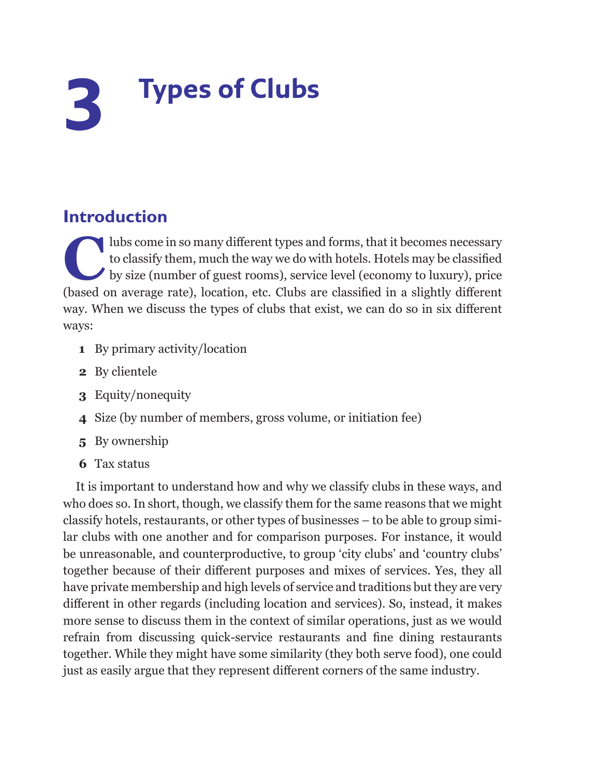## **3 Types of Clubs**

## **Introduction**

The clubs come in so many different types and forms, that it becomes necessary<br>to classify them, much the way we do with hotels. Hotels may be classified<br>by size (number of guest rooms), service level (economy to luxury), to classify them, much the way we do with hotels. Hotels may be classified by size (number of guest rooms), service level (economy to luxury), price (based on average rate), location, etc. Clubs are classified in a slightly different way. When we discuss the types of clubs that exist, we can do so in six different ways:

- **1** By primary activity/location
- **2** By clientele
- **3** Equity/nonequity
- **4** Size (by number of members, gross volume, or initiation fee)
- **5** By ownership
- **6** Tax status

It is important to understand how and why we classify clubs in these ways, and who does so. In short, though, we classify them for the same reasons that we might classify hotels, restaurants, or other types of businesses – to be able to group similar clubs with one another and for comparison purposes. For instance, it would be unreasonable, and counterproductive, to group 'city clubs' and 'country clubs' together because of their different purposes and mixes of services. Yes, they all have private membership and high levels of service and traditions but they are very different in other regards (including location and services). So, instead, it makes more sense to discuss them in the context of similar operations, just as we would refrain from discussing quick-service restaurants and fine dining restaurants together. While they might have some similarity (they both serve food), one could just as easily argue that they represent different corners of the same industry.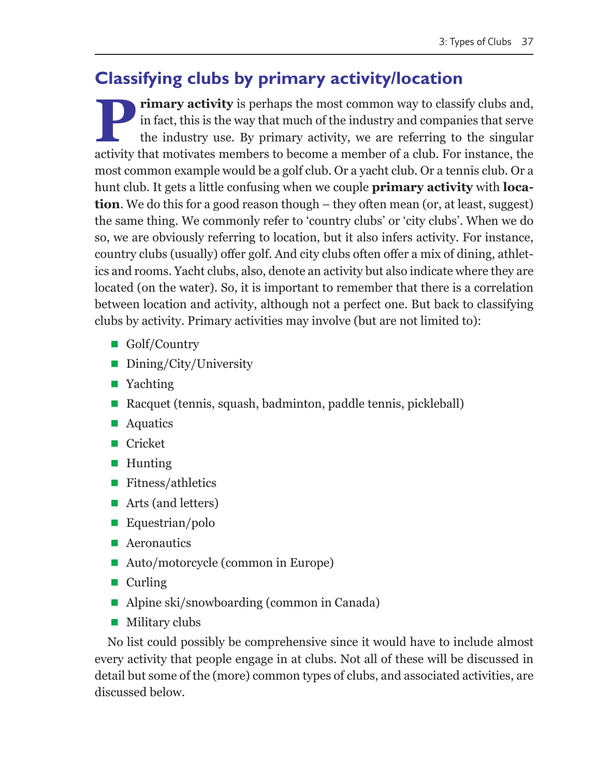## **Classifying clubs by primary activity/location**

**Primary activity** is perhaps the most common way to classify clubs and, in fact, this is the way that much of the industry and companies that serve the industry use. By primary activity, we are referring to the singular a in fact, this is the way that much of the industry and companies that serve the industry use. By primary activity, we are referring to the singular activity that motivates members to become a member of a club. For instance, the most common example would be a golf club. Or a yacht club. Or a tennis club. Or a hunt club. It gets a little confusing when we couple **primary activity** with **location**. We do this for a good reason though – they often mean (or, at least, suggest) the same thing. We commonly refer to 'country clubs' or 'city clubs'. When we do so, we are obviously referring to location, but it also infers activity. For instance, country clubs (usually) offer golf. And city clubs often offer a mix of dining, athletics and rooms. Yacht clubs, also, denote an activity but also indicate where they are located (on the water). So, it is important to remember that there is a correlation between location and activity, although not a perfect one. But back to classifying clubs by activity. Primary activities may involve (but are not limited to):

- Golf/Country
- Dining/City/University
- Yachting
- Racquet (tennis, squash, badminton, paddle tennis, pickleball)
- Aquatics
- Cricket
- Hunting
- Fitness/athletics
- Arts (and letters)
- Equestrian/polo
- **Aeronautics**
- Auto/motorcycle (common in Europe)
- $\blacksquare$  Curling
- Alpine ski/snowboarding (common in Canada)
- **Military clubs**

No list could possibly be comprehensive since it would have to include almost every activity that people engage in at clubs. Not all of these will be discussed in detail but some of the (more) common types of clubs, and associated activities, are discussed below.